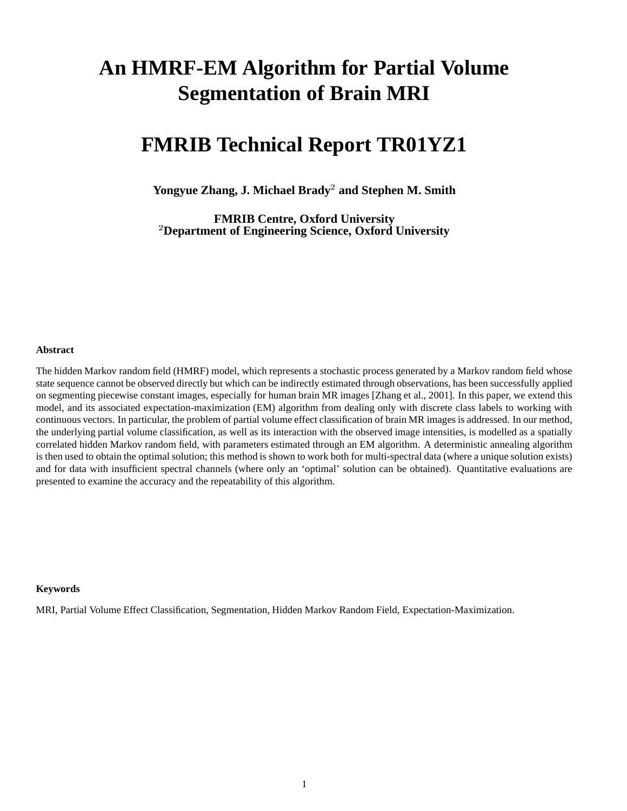# **An HMRF-EM Algorithm for Partial Volume Segmentation of Brain MRI**

# **FMRIB Technical Report TR01YZ1**

**Yongyue Zhang, J. Michael Brady and Stephen M. Smith**

 **Department of Engineering Science, Oxford University FMRIB Centre, Oxford University**

#### **Abstract**

The hidden Markov random field (HMRF) model, which represents a stochastic process generated by a Markov random field whose state sequence cannot be observed directly but which can be indirectly estimated through observations, has been successfully applied on segmenting piecewise constant images, especially for human brain MR images [Zhang et al., 2001]. In this paper, we extend this model, and its associated expectation-maximization (EM) algorithm from dealing only with discrete class labels to working with continuous vectors. In particular, the problem of partial volume effect classification of brain MR images is addressed. In our method, the underlying partial volume classification, as well as its interaction with the observed image intensities, is modelled as a spatially correlated hidden Markov random field, with parameters estimated through an EM algorithm. A deterministic annealing algorithm is then used to obtain the optimal solution; this method is shown to work both for multi-spectral data (where a unique solution exists) and for data with insufficient spectral channels (where only an 'optimal' solution can be obtained). Quantitative evaluations are presented to examine the accuracy and the repeatability of this algorithm.

#### **Keywords**

MRI, Partial Volume Effect Classification, Segmentation, Hidden Markov Random Field, Expectation-Maximization.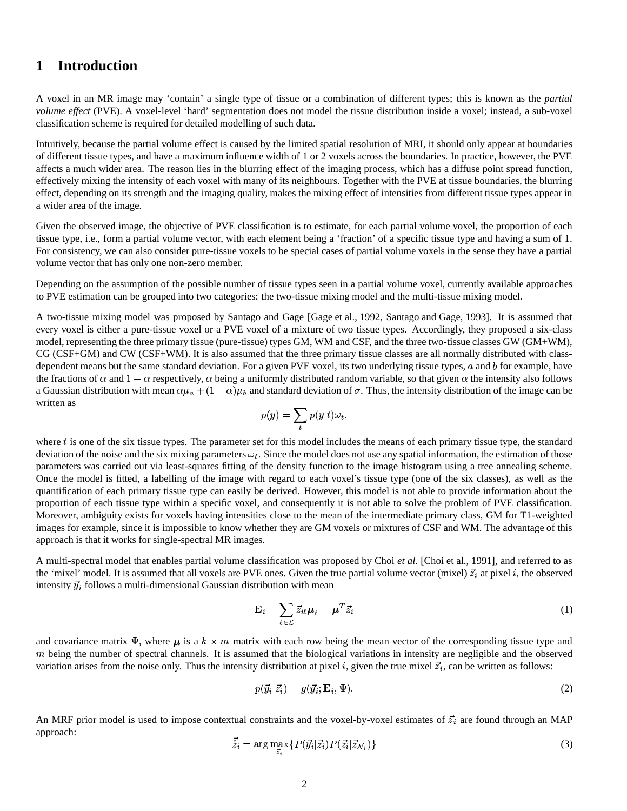# **1 Introduction**

A voxel in an MR image may 'contain' a single type of tissue or a combination of different types; this is known as the *partial volume effect* (PVE). A voxel-level 'hard' segmentation does not model the tissue distribution inside a voxel; instead, a sub-voxel classification scheme is required for detailed modelling of such data.

Intuitively, because the partial volume effect is caused by the limited spatial resolution of MRI, it should only appear at boundaries of different tissue types, and have a maximum influence width of 1 or 2 voxels across the boundaries. In practice, however, the PVE affects a much wider area. The reason lies in the blurring effect of the imaging process, which has a diffuse point spread function, effectively mixing the intensity of each voxel with many of its neighbours. Together with the PVE at tissue boundaries, the blurring effect, depending on its strength and the imaging quality, makes the mixing effect of intensities from different tissue types appear in a wider area of the image.

Given the observed image, the objective of PVE classification is to estimate, for each partial volume voxel, the proportion of each tissue type, i.e., form a partial volume vector, with each element being a 'fraction' of a specific tissue type and having a sum of 1. For consistency, we can also consider pure-tissue voxels to be special cases of partial volume voxels in the sense they have a partial volume vector that has only one non-zero member.

Depending on the assumption of the possible number of tissue types seen in a partial volume voxel, currently available approaches to PVE estimation can be grouped into two categories: the two-tissue mixing model and the multi-tissue mixing model.

A two-tissue mixing model was proposed by Santago and Gage [Gage et al., 1992, Santago and Gage, 1993]. It is assumed that every voxel is either a pure-tissue voxel or a PVE voxel of a mixture of two tissue types. Accordingly, they proposed a six-class model, representing the three primary tissue (pure-tissue) types GM, WM and CSF, and the three two-tissue classes GW (GM+WM), CG (CSF+GM) and CW (CSF+WM). It is also assumed that the three primary tissue classes are all normally distributed with classdependent means but the same standard deviation. For a given PVE voxel, its two underlying tissue types,  $a$  and  $b$  for example, have the fractions of  $\alpha$  and  $1-\alpha$  respectively,  $\alpha$  being a uniformly distributed random variable, so that given  $\alpha$  the intensity also follows a Gaussian distribution with mean  $\alpha\mu_a + (1-\alpha)\mu_b$  and standard deviation of  $\sigma$ . Thus, the intensity distribution of the image can be written as

$$
p(y) = \sum_t p(y|t) \omega_t,
$$

where  $t$  is one of the six tissue types. The parameter set for this model includes the means of each primary tissue type, the standard deviation of the noise and the six mixing parameters  $\omega_t$ . Since the model does not use any spatial information, the estimation of those parameters was carried out via least-squares fitting of the density function to the image histogram using a tree annealing scheme. Once the model is fitted, a labelling of the image with regard to each voxel's tissue type (one of the six classes), as well as the quantification of each primary tissue type can easily be derived. However, this model is not able to provide information about the proportion of each tissue type within a specific voxel, and consequently it is not able to solve the problem of PVE classification. Moreover, ambiguity exists for voxels having intensities close to the mean of the intermediate primary class, GM for T1-weighted images for example, since it is impossible to know whether they are GM voxels or mixtures of CSF and WM. The advantage of this approach is that it works for single-spectral MR images.

A multi-spectral model that enables partial volume classification was proposed by Choi *et al.* [Choi et al., 1991], and referred to as the 'mixel' model. It is assumed that all voxels are PVE ones. Given the true partial volume vector (mixel)  $\vec{z}_i$  at pixel i, the observed intensity  $\vec{y}_i$  follows a multi-dimensional Gaussian distribution with mean

$$
\mathbf{E}_{i} = \sum_{\ell \in \mathcal{L}} \vec{z}_{i\ell} \mu_{\ell} = \mu^{T} \vec{z}_{i}
$$
 (1)

and covariance matrix  $\Psi$ , where  $\mu$  is a  $k \times m$  matrix with each row being the mean vector of the corresponding tissue type and  $m$  being the number of spectral channels. It is assumed that the biological variations in intensity are negligible and the observed variation arises from the noise only. Thus the intensity distribution at pixel i, given the true mixel  $\vec{z_i}$ , can be written as follows:

$$
p(\vec{y}_i|\vec{z}_i) = g(\vec{y}_i; \mathbf{E}_i, \Psi). \tag{2}
$$

An MRF prior model is used to impose contextual constraints and the voxel-by-voxel estimates of  $\vec{z}_i$  are found through an MAP approach:

$$
\vec{\tilde{z}}_i = \arg \max_{\vec{z}_i} \{ P(\vec{y}_i | \vec{z}_i) P(\vec{z}_i | \vec{z}_{\mathcal{N}_i}) \} \tag{3}
$$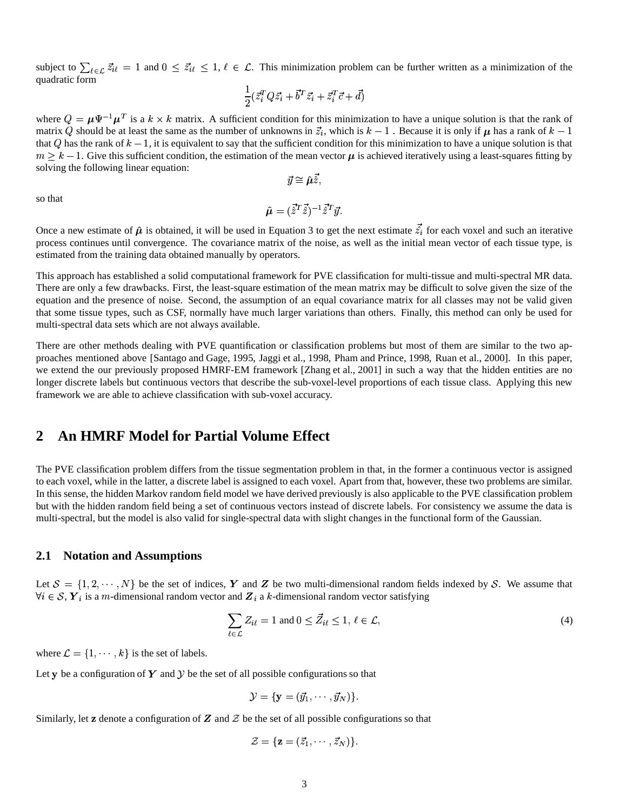subject to  $\sum_{\ell \in \mathcal{L}} \vec{z}_{i\ell} = 1$  and  $0 \leq \vec{z}_{i\ell} \leq 1, \ell \in \mathcal{L}$ . This minimization problem can be further written as a minimization of the quadratic form

$$
\frac{1}{2}(\vec{z}_i^TQ\vec{z}_i+\vec{b}^T\vec{z}_i+\vec{z}_i^T\vec{c}+\vec{d})
$$

where  $Q = \mu \Psi^{-1} \mu^{T}$  is a  $k \times k$  matrix. A sufficient condition for this minimization to have a unique solution is that the rank of matrix Q should be at least the same as the number of unknowns in  $\vec{z_i}$ , which is  $k-1$ . Because it is only if  $\mu$  has a rank of  $k-1$ that Q has the rank of  $k-1$ , it is equivalent to say that the sufficient condition for this minimization to have a unique solution is that  $m \geq k-1$ . Give this sufficient condition, the estimation of the mean vector  $\mu$  is achieved iteratively using a least-squares fitting by solving the following linear equation:

$$
\vec{y} \cong \hat{\boldsymbol{\mu}} \hat{z},
$$

so that

$$
\hat{\boldsymbol{\mu}} = (\vec{\hat{z}}^T \vec{\hat{z}})^{-1} \vec{\hat{z}}^T \vec{y}.
$$

Once a new estimate of  $\hat{\mu}$  is obtained, it will be used in Equation 3 to get the next estimate  $\hat{z}_i$  for each voxel and such an iterative process continues until convergence. The covariance matrix of the noise, as well as the initial mean vector of each tissue type, is estimated from the training data obtained manually by operators.

This approach has established a solid computational framework for PVE classification for multi-tissue and multi-spectral MR data. There are only a few drawbacks. First, the least-square estimation of the mean matrix may be difficult to solve given the size of the equation and the presence of noise. Second, the assumption of an equal covariance matrix for all classes may not be valid given that some tissue types, such as CSF, normally have much larger variations than others. Finally, this method can only be used for multi-spectral data sets which are not always available.

There are other methods dealing with PVE quantification or classification problems but most of them are similar to the two approaches mentioned above [Santago and Gage, 1995, Jaggi et al., 1998, Pham and Prince, 1998, Ruan et al., 2000]. In this paper, we extend the our previously proposed HMRF-EM framework [Zhang et al., 2001] in such a way that the hidden entities are no longer discrete labels but continuous vectors that describe the sub-voxel-level proportions of each tissue class. Applying this new framework we are able to achieve classification with sub-voxel accuracy.

# **2 An HMRF Model for Partial Volume Effect**

The PVE classification problem differs from the tissue segmentation problem in that, in the former a continuous vector is assigned to each voxel, while in the latter, a discrete label is assigned to each voxel. Apart from that, however, these two problems are similar. In this sense, the hidden Markov random field model we have derived previously is also applicable to the PVE classification problem but with the hidden random field being a set of continuous vectors instead of discrete labels. For consistency we assume the data is multi-spectral, but the model is also valid for single-spectral data with slight changes in the functional form of the Gaussian.

#### **2.1 Notation and Assumptions**

Let  $S = \{1, 2, \dots, N\}$  be the set of indices, Y and Z be two multi-dimensional random fields indexed by S. We assume that  $\forall i \in S$ ,  $\boldsymbol{Y}_i$  is a m-dimensional random vector and  $\boldsymbol{Z}_i$  a k-dimensional random vector satisfying

$$
\sum_{\ell \in \mathcal{L}} Z_{i\ell} = 1 \text{ and } 0 \le \vec{Z}_{i\ell} \le 1, \ \ell \in \mathcal{L}, \tag{4}
$$

where  $\mathcal{L} = \{1, \dots, k\}$  is  $, \cdots, k$  is the set of labels.

Let y be a configuration of Y and  $\mathcal Y$  be the set of all possible configurations so that

$$
\mathcal{Y} = \{\mathbf{y} = (\vec{y}_1, \cdots, \vec{y}_N)\}.
$$

Similarly, let  $z$  denote a configuration of  $Z$  and  $\mathcal Z$  be the set of all possible configurations so that

$$
\mathcal{Z} = \{ \mathbf{z} = (\vec{z}_1, \cdots, \vec{z}_N) \}.
$$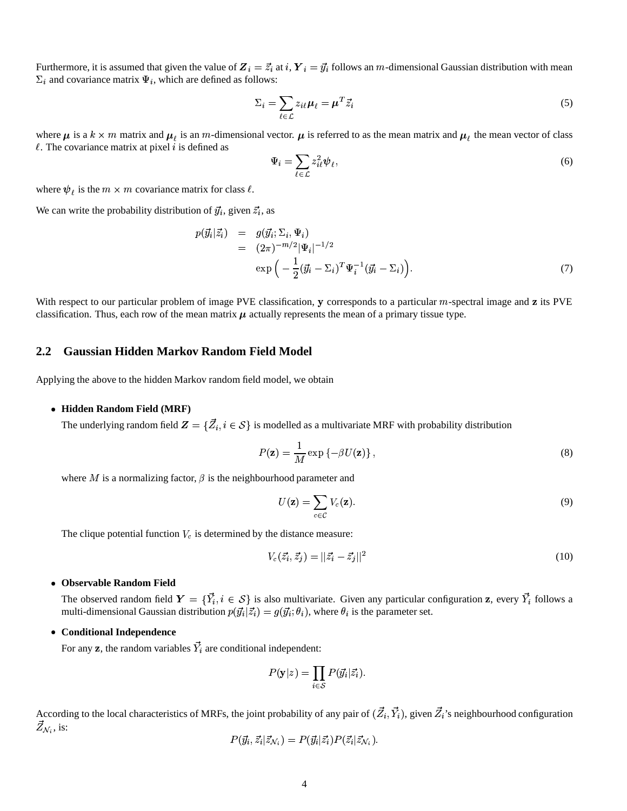Furthermore, it is assumed that given the value of  $Z_i = \vec{z_i}$  at i,  $Y_i = \vec{y_i}$  follows an *m*-dimensional Gaussian distribution with mean  $\Sigma_i$  and covariance matrix  $\Psi_i$ , which are defined as follows:

$$
\Sigma_i = \sum_{\ell \in \mathcal{L}} z_{i\ell} \mu_\ell = \mu^T \vec{z}_i \tag{5}
$$

where  $\mu$  is a  $k \times m$  matrix and  $\mu_i$  is an m-dimensional vector.  $\mu$  is referred to as the mean matrix and  $\mu_i$  the mean vector of class  $\ell$ . The covariance matrix at pixel  $i$  is defined as

$$
\Psi_i = \sum_{\ell \in \mathcal{L}} z_{i\ell}^2 \psi_\ell,\tag{6}
$$

where  $\psi_{\ell}$  is the  $m \times m$  covariance matrix for class  $\ell$ .

We can write the probability distribution of  $\vec{y}_i$ , given  $\vec{z}_i$ , as

$$
p(\vec{y}_i|\vec{z}_i) = g(\vec{y}_i; \Sigma_i, \Psi_i)
$$
  
=  $(2\pi)^{-m/2} |\Psi_i|^{-1/2}$   

$$
\exp\left(-\frac{1}{2}(\vec{y}_i - \Sigma_i)^T \Psi_i^{-1} (\vec{y}_i - \Sigma_i)\right).
$$
 (7)

With respect to our particular problem of image PVE classification, y corresponds to a particular m-spectral image and z its PVE classification. Thus, each row of the mean matrix  $\mu$  actually represents the mean of a primary tissue type.

### **2.2 Gaussian Hidden Markov Random Field Model**

Applying the above to the hidden Markov random field model, we obtain

#### **Hidden Random Field (MRF)**

The underlying random field  $\bm{Z}=\{\vec{Z}_i,i\in\mathcal{S}\}$  is modelled as a multivariate MRF with probability distribution

$$
P(\mathbf{z}) = \frac{1}{M} \exp \{-\beta U(\mathbf{z})\},\tag{8}
$$

where M is a normalizing factor,  $\beta$  is the neighbourhood parameter and

$$
U(\mathbf{z}) = \sum_{c \in \mathcal{C}} V_c(\mathbf{z}).
$$
\n(9)

The clique potential function  $V_c$  is determined by the distance measure:

$$
V_c(\vec{z}_i, \vec{z}_j) = ||\vec{z}_i - \vec{z}_j||^2
$$
\n(10)

#### **Observable Random Field**

The observed random field  $Y = \{\vec{Y}_i, i \in S\}$  is also multivariate. Given any particular configuration z, every  $\vec{Y}_i$  follows a multi-dimensional Gaussian distribution  $p(\vec{y}_i | \vec{z}_i) = g(\vec{y}_i; \theta_i)$ , where  $\theta_i$  is the parameter set.

#### **Conditional Independence**

For any **z**, the random variables  $Y_i$  are conditional independent:

$$
P(\mathbf{y}|z) = \prod_{i \in \mathcal{S}} P(\vec{y}_i | \vec{z}_i).
$$

According to the local characteristics of MRFs, the joint probability of any pair of  $(\vec{Z}_i, \vec{Y}_i)$ , given  $\vec{Z}_i$ 's neighbourhood configuration  $Z_{\mathcal{N}_i},$  is:

$$
P(\vec{y_i},\vec{z_i}|\vec{z}_{\mathcal{N}_i})=P(\vec{y_i}|\vec{z_i})P(\vec{z_i}|\vec{z}_{\mathcal{N}_i}).
$$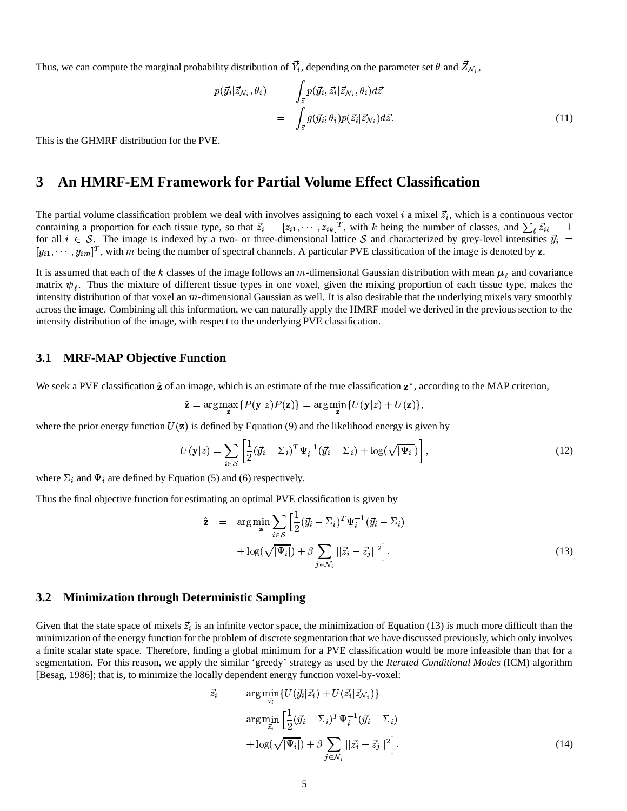Thus, we can compute the marginal probability distribution of  $Y_i$ , depending on the parameter set  $\theta$  and  $Z_{N_i}$ ,

 $\overline{\mathbf{r}}$ 

$$
p(\vec{y}_i|\vec{z}_{\mathcal{N}_i},\theta_i) = \int_{\vec{z}} p(\vec{y}_i,\vec{z}_i|\vec{z}_{\mathcal{N}_i},\theta_i) d\vec{z}
$$
  

$$
= \int_{\vec{z}} g(\vec{y}_i;\theta_i) p(\vec{z}_i|\vec{z}_{\mathcal{N}_i}) d\vec{z}.
$$
 (11)

This is the GHMRF distribution for the PVE.

## **3 An HMRF-EM Framework for Partial Volume Effect Classification**

The partial volume classification problem we deal with involves assigning to each voxel i a mixel  $\vec{z}_i$ , which is a continuous vector containing a proportion for each tissue type, so that  $\vec{z}_i = [z_{i1}, \cdots, z_{ik}]^T$ , with k being the number of classes, and  $\sum_i \vec{z}_{i\ell} = 1$ for all  $i \in S$ . The image is indexed by a two- or three-dimensional lattice S and characterized by grey-level intensities  $\vec{y}_i$  =  $[y_{i1}, \dots, y_{im}]^T$ , with m being the number of spectral channels. A particular PVE classification of the image is denoted by **z**.

It is assumed that each of the k classes of the image follows an m-dimensional Gaussian distribution with mean  $\mu_{\ell}$  and covariance matrix  $\psi_i$ . Thus the mixture of different tissue types in one voxel, given the mixing proportion of each tissue type, makes the intensity distribution of that voxel an  $m$ -dimensional Gaussian as well. It is also desirable that the underlying mixels vary smoothly across the image. Combining all this information, we can naturally apply the HMRF model we derived in the previous section to the intensity distribution of the image, with respect to the underlying PVE classification.

#### **3.1 MRF-MAP Objective Function**

We seek a PVE classification  $\hat{z}$  of an image, which is an estimate of the true classification  $z^*$ , according to the MAP criterion,

$$
\hat{\mathbf{z}} = \arg\max_{\mathbf{z}} \{ P(\mathbf{y}|z)P(\mathbf{z}) \} = \arg\min_{\mathbf{z}} \{ U(\mathbf{y}|z) + U(\mathbf{z}) \},
$$

where the prior energy function  $U(z)$  is defined by Equation (9) and the likelihood energy is given by

$$
U(\mathbf{y}|z) = \sum_{i \in S} \left[ \frac{1}{2} (\vec{y}_i - \Sigma_i)^T \Psi_i^{-1} (\vec{y}_i - \Sigma_i) + \log(\sqrt{|\Psi_i|}) \right],\tag{12}
$$

where  $\Sigma_i$  and  $\Psi_i$  are defined by Equation (5) and (6) respectively.

Thus the final objective function for estimating an optimal PVE classification is given by

$$
\hat{\mathbf{z}} = \arg \min_{\mathbf{z}} \sum_{i \in S} \left[ \frac{1}{2} (\vec{y}_i - \Sigma_i)^T \Psi_i^{-1} (\vec{y}_i - \Sigma_i) + \log(\sqrt{|\Psi_i|}) + \beta \sum_{j \in \mathcal{N}_i} ||\vec{z}_i - \vec{z}_j||^2 \right].
$$
\n(13)

#### **3.2 Minimization through Deterministic Sampling**

Given that the state space of mixels  $\vec{z}_i$  is an infinite vector space, the minimization of Equation (13) is much more difficult than the minimization of the energy function for the problem of discrete segmentation that we have discussed previously, which only involves a finite scalar state space. Therefore, finding a global minimum for a PVE classification would be more infeasible than that for a segmentation. For this reason, we apply the similar 'greedy' strategy as used by the *Iterated Conditional Modes* (ICM) algorithm [Besag, 1986]; that is, to minimize the locally dependent energy function voxel-by-voxel:

$$
\begin{split}\n\vec{z}_{i} &= \arg \min_{\vec{z}_{i}} \{ U(\vec{y}_{i}|\vec{z}_{i}) + U(\vec{z}_{i}|\vec{z}_{\mathcal{N}_{i}}) \} \\
&= \arg \min_{\vec{z}_{i}} \left[ \frac{1}{2} (\vec{y}_{i} - \Sigma_{i})^{T} \Psi_{i}^{-1} (\vec{y}_{i} - \Sigma_{i}) \right. \\
&\left. + \log(\sqrt{|\Psi_{i}|}) + \beta \sum_{j \in \mathcal{N}_{i}} ||\vec{z}_{i} - \vec{z}_{j}||^{2} \right].\n\end{split} \tag{14}
$$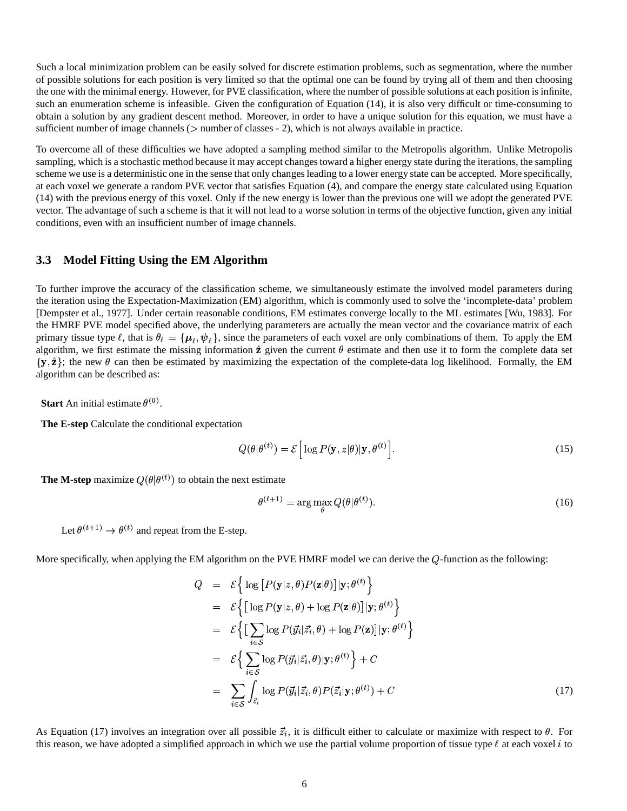Such a local minimization problem can be easily solved for discrete estimation problems, such as segmentation, where the number of possible solutions for each position is very limited so that the optimal one can be found by trying all of them and then choosing the one with the minimal energy. However, for PVE classification, where the number of possible solutions at each position is infinite, such an enumeration scheme is infeasible. Given the configuration of Equation (14), it is also very difficult or time-consuming to obtain a solution by any gradient descent method. Moreover, in order to have a unique solution for this equation, we must have a sufficient number of image channels ( $>$  number of classes - 2), which is not always available in practice.

To overcome all of these difficulties we have adopted a sampling method similar to the Metropolis algorithm. Unlike Metropolis sampling, which is a stochastic method because it may accept changes toward a higher energy state during the iterations, the sampling scheme we use is a deterministic one in the sense that only changesleading to a lower energy state can be accepted. More specifically, at each voxel we generate a random PVE vector that satisfies Equation (4), and compare the energy state calculated using Equation (14) with the previous energy of this voxel. Only if the new energy is lower than the previous one will we adopt the generated PVE vector. The advantage of such a scheme is that it will not lead to a worse solution in terms of the objective function, given any initial conditions, even with an insufficient number of image channels.

### **3.3 Model Fitting Using the EM Algorithm**

To further improve the accuracy of the classification scheme, we simultaneously estimate the involved model parameters during the iteration using the Expectation-Maximization (EM) algorithm, which is commonly used to solve the 'incomplete-data' problem [Dempster et al., 1977]. Under certain reasonable conditions, EM estimates converge locally to the ML estimates [Wu, 1983]. For the HMRF PVE model specified above, the underlying parameters are actually the mean vector and the covariance matrix of each primary tissue type  $\ell$ , that is  $\theta_\ell = \{\mu_\ell, \psi_\ell\}$ , since the parameters of each voxel are only combinations of them. To apply the EM algorithm, we first estimate the missing information  $\hat{z}$  given the current  $\theta$  estimate and then use it to form the complete data set  $\{y, \hat{z}\}$ ; the new  $\theta$  can then be estimated by maximizing the expectation of the complete-data log likelihood. Formally, the EM algorithm can be described as:

**Start** An initial estimate  $\theta^{(0)}$ .

**The E-step** Calculate the conditional expectation

$$
Q(\theta|\theta^{(t)}) = \mathcal{E}\left[\log P(\mathbf{y}, z|\theta)|\mathbf{y}, \theta^{(t)}\right].
$$
\n(15)

**The M-step** maximize  $Q(\theta | \theta^{(t)})$  to obtain the next estimate

$$
\theta^{(t+1)} = \arg \max_{\theta} Q(\theta | \theta^{(t)}). \tag{16}
$$

Let  $\theta^{(t+1)} \rightarrow \theta^{(t)}$  and repeat from the E-step.

More specifically, when applying the EM algorithm on the PVE HMRF model we can derive the  $Q$ -function as the following:

$$
Q = \mathcal{E} \Big\{ \log \big[ P(\mathbf{y}|z,\theta) P(\mathbf{z}|\theta) \big] | \mathbf{y}; \theta^{(t)} \Big\}
$$
  
\n
$$
= \mathcal{E} \Big\{ \big[ \log P(\mathbf{y}|z,\theta) + \log P(\mathbf{z}|\theta) \big] | \mathbf{y}; \theta^{(t)} \Big\}
$$
  
\n
$$
= \mathcal{E} \Big\{ \big[ \sum_{i \in S} \log P(\vec{y}_i | \vec{z}_i, \theta) + \log P(\mathbf{z}) \big] | \mathbf{y}; \theta^{(t)} \Big\}
$$
  
\n
$$
= \mathcal{E} \Big\{ \sum_{i \in S} \log P(\vec{y}_i | \vec{z}_i, \theta) | \mathbf{y}; \theta^{(t)} \Big\} + C
$$
  
\n
$$
= \sum_{i \in S} \int_{\vec{z}_i} \log P(\vec{y}_i | \vec{z}_i, \theta) P(\vec{z}_i | \mathbf{y}; \theta^{(t)}) + C \qquad (17)
$$

As Equation (17) involves an integration over all possible  $\vec{z}_i$ , it is difficult either to calculate or maximize with respect to  $\theta$ . For this reason, we have adopted a simplified approach in which we use the partial volume proportion of tissue type  $\ell$  at each voxel  $i$  to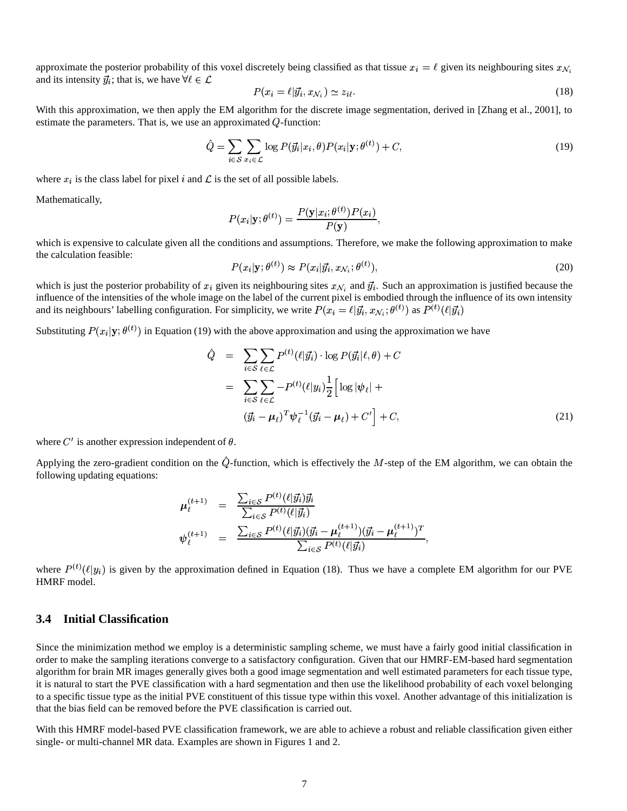approximate the posterior probability of this voxel discretely being classified as that tissue  $x_i = \ell$  given its neighbouring sites  $x_{\mathcal{N}_i}$ and its intensity  $\vec{y}_i$ ; that is, we have  $\forall \ell \in \mathcal{L}$ 

$$
P(x_i = \ell | \vec{y}_i, x_{\mathcal{N}_i}) \simeq z_{i\ell}.\tag{18}
$$

With this approximation, we then apply the EM algorithm for the discrete image segmentation, derived in [Zhang et al., 2001], to estimate the parameters. That is, we use an approximated  $Q$ -function:

$$
\hat{Q} = \sum_{i \in S} \sum_{x_i \in \mathcal{L}} \log P(\vec{y_i}|x_i, \theta) P(x_i|\mathbf{y}; \theta^{(t)}) + C,\tag{19}
$$

where  $x_i$  is the class label for pixel i and  $\mathcal L$  is the set of all possible labels.

Mathematically,

$$
P(x_i|\mathbf{y};\theta^{(t)}) = \frac{P(\mathbf{y}|x_i;\theta^{(t)})P(x_i)}{P(\mathbf{y})},
$$

which is expensive to calculate given all the conditions and assumptions. Therefore, we make the following approximation to make the calculation feasible:  $a(t)$   $\rightarrow$   $B(t)$  $a(t)$ 

$$
P(x_i|\mathbf{y};\theta^{(t)}) \approx P(x_i|\vec{y}_i, x_{\mathcal{N}_i};\theta^{(t)}),\tag{20}
$$

which is just the posterior probability of  $x_i$  given its neighbouring sites  $x_{\mathcal{N}_i}$  and  $\vec{y}_i$ . Such an approximation is justified because the influence of the intensities of the whole image on the label of the current pixel is embodied through the influence of its own intensity and its neighbours' labelling configuration. For simplicity, we write  $P(x_i = \ell | \vec{y_i}, x_{\mathcal{N}_i}; \theta^{(t)})$  as  $P^{(t)}(\ell | \vec{y_i})$ 

Substituting  $P(x_i|\mathbf{y};\theta^{(t)})$  in Equation (19) with the above approximation and using the approximation we have

$$
\hat{Q} = \sum_{i \in S} \sum_{\ell \in \mathcal{L}} P^{(t)}(\ell | \vec{y}_i) \cdot \log P(\vec{y}_i | \ell, \theta) + C
$$
\n
$$
= \sum_{i \in S} \sum_{\ell \in \mathcal{L}} -P^{(t)}(\ell | y_i) \frac{1}{2} \Big[ \log |\psi_{\ell}| +
$$
\n
$$
(\vec{y}_i - \mu_{\ell})^T \psi_{\ell}^{-1} (\vec{y}_i - \mu_{\ell}) + C' \Big] + C,
$$
\n(21)

where  $C'$  is another expression independent of  $\theta$ .

Applying the zero-gradient condition on the  $Q$ -function, which is effectively the M-step of the EM algorithm, we can obtain the following updating equations:

 $\mathbb{R}^2$ 

$$
\begin{array}{rcl}\n\boldsymbol{\mu}_{\ell}^{(t+1)} & = & \frac{\sum_{i \in \mathcal{S}} P^{(t)}(\ell | \vec{y}_i) \vec{y}_i}{\sum_{i \in \mathcal{S}} P^{(t)}(\ell | \vec{y}_i)} \\
\boldsymbol{\psi}_{\ell}^{(t+1)} & = & \frac{\sum_{i \in \mathcal{S}} P^{(t)}(\ell | \vec{y}_i) (\vec{y}_i - \boldsymbol{\mu}_{\ell}^{(t+1)}) (\vec{y}_i - \boldsymbol{\mu}_{\ell}^{(t+1)})^T}{\sum_{i \in \mathcal{S}} P^{(t)}(\ell | \vec{y}_i)},\n\end{array}
$$

where  $P^{(t)}(\ell|y_i)$  is given by the approximation defined in Equation (18). Thus we have a complete EM algorithm for our PVE HMRF model.

## **3.4 Initial Classification**

Since the minimization method we employ is a deterministic sampling scheme, we must have a fairly good initial classification in order to make the sampling iterations converge to a satisfactory configuration. Given that our HMRF-EM-based hard segmentation algorithm for brain MR images generally gives both a good image segmentation and well estimated parameters for each tissue type, it is natural to start the PVE classification with a hard segmentation and then use the likelihood probability of each voxel belonging to a specific tissue type as the initial PVE constituent of this tissue type within this voxel. Another advantage of this initialization is that the bias field can be removed before the PVE classification is carried out.

With this HMRF model-based PVE classification framework, we are able to achieve a robust and reliable classification given either single- or multi-channel MR data. Examples are shown in Figures 1 and 2.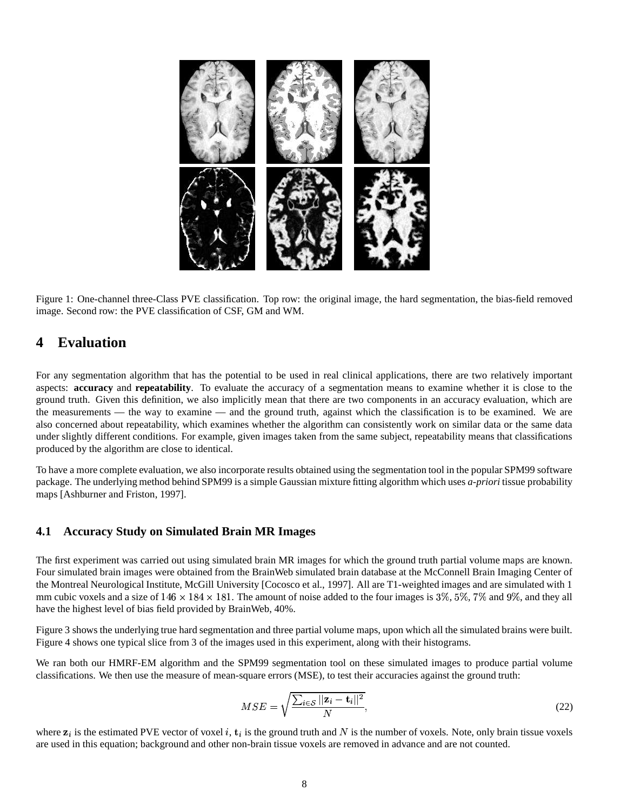

Figure 1: One-channel three-Class PVE classification. Top row: the original image, the hard segmentation, the bias-field removed image. Second row: the PVE classification of CSF, GM and WM.

# **4 Evaluation**

For any segmentation algorithm that has the potential to be used in real clinical applications, there are two relatively important aspects: **accuracy** and **repeatability**. To evaluate the accuracy of a segmentation means to examine whether it is close to the ground truth. Given this definition, we also implicitly mean that there are two components in an accuracy evaluation, which are the measurements — the way to examine — and the ground truth, against which the classification is to be examined. We are also concerned about repeatability, which examines whether the algorithm can consistently work on similar data or the same data under slightly different conditions. For example, given images taken from the same subject, repeatability means that classifications produced by the algorithm are close to identical.

To have a more complete evaluation, we also incorporate results obtained using the segmentation tool in the popular SPM99 software package. The underlying method behind SPM99 is a simple Gaussian mixture fitting algorithm which uses *a-priori* tissue probability maps [Ashburner and Friston, 1997].

## **4.1 Accuracy Study on Simulated Brain MR Images**

The first experiment was carried out using simulated brain MR images for which the ground truth partial volume maps are known. Four simulated brain images were obtained from the BrainWeb simulated brain database at the McConnell Brain Imaging Center of the Montreal Neurological Institute, McGill University [Cocosco et al., 1997]. All are T1-weighted images and are simulated with 1 mm cubic voxels and a size of  $146 \times 184 \times 181$ . The amount of noise added to the four images is 3%, 5%, 7% and 9%, and they all have the highest level of bias field provided by BrainWeb, 40%.

Figure 3 shows the underlying true hard segmentation and three partial volume maps, upon which all the simulated brains were built. Figure 4 shows one typical slice from 3 of the images used in this experiment, along with their histograms.

We ran both our HMRF-EM algorithm and the SPM99 segmentation tool on these simulated images to produce partial volume classifications. We then use the measure of mean-square errors (MSE), to test their accuracies against the ground truth:

$$
MSE = \sqrt{\frac{\sum_{i \in S} ||\mathbf{z}_i - \mathbf{t}_i||^2}{N}},\tag{22}
$$

where  $z_i$  is the estimated PVE vector of voxel i,  $t_i$  is the ground truth and N is the number of voxels. Note, only brain tissue voxels are used in this equation; background and other non-brain tissue voxels are removed in advance and are not counted.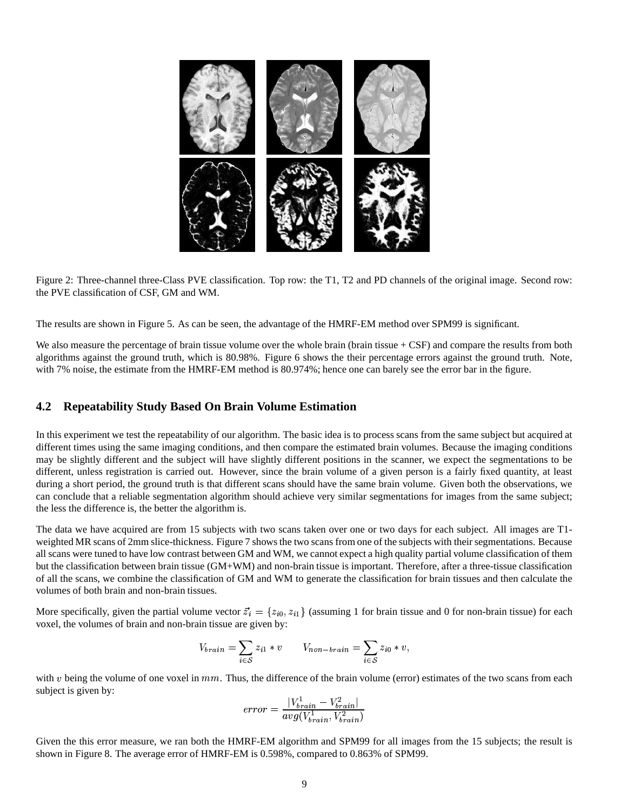

Figure 2: Three-channel three-Class PVE classification. Top row: the T1, T2 and PD channels of the original image. Second row: the PVE classification of CSF, GM and WM.

The results are shown in Figure 5. As can be seen, the advantage of the HMRF-EM method over SPM99 is significant.

We also measure the percentage of brain tissue volume over the whole brain (brain tissue + CSF) and compare the results from both algorithms against the ground truth, which is 80.98%. Figure 6 shows the their percentage errors against the ground truth. Note, with 7% noise, the estimate from the HMRF-EM method is 80.974%; hence one can barely see the error bar in the figure.

#### **4.2 Repeatability Study Based On Brain Volume Estimation**

In this experiment we test the repeatability of our algorithm. The basic idea is to process scans from the same subject but acquired at different times using the same imaging conditions, and then compare the estimated brain volumes. Because the imaging conditions may be slightly different and the subject will have slightly different positions in the scanner, we expect the segmentations to be different, unless registration is carried out. However, since the brain volume of a given person is a fairly fixed quantity, at least during a short period, the ground truth is that different scans should have the same brain volume. Given both the observations, we can conclude that a reliable segmentation algorithm should achieve very similar segmentations for images from the same subject; the less the difference is, the better the algorithm is.

The data we have acquired are from 15 subjects with two scans taken over one or two days for each subject. All images are T1 weighted MR scans of 2mm slice-thickness. Figure 7 shows the two scans from one of the subjects with their segmentations. Because all scans were tuned to have low contrast between GM and WM, we cannot expect a high quality partial volume classification of them but the classification between brain tissue (GM+WM) and non-brain tissue is important. Therefore, after a three-tissue classification of all the scans, we combine the classification of GM and WM to generate the classification for brain tissues and then calculate the volumes of both brain and non-brain tissues.

More specifically, given the partial volume vector  $\vec{z}_i = \{z_{i0}, z_{i1}\}$  (assuming 1 for brain tissue and 0 for non-brain tissue) for each voxel, the volumes of brain and non-brain tissue are given by:

$$
V_{brain} = \sum_{i \in S} z_{i1} * v \qquad V_{non-brain} = \sum_{i \in S} z_{i0} * v,
$$

with  $v$  being the volume of one voxel in  $mm$ . Thus, the difference of the brain volume (error) estimates of the two scans from each subject is given by:

$$
error = \frac{|V_{brain}^1 - V_{brain}^2|}{avg(V_{brain}^1, V_{brain}^2)}
$$

Given the this error measure, we ran both the HMRF-EM algorithm and SPM99 for all images from the 15 subjects; the result is shown in Figure 8. The average error of HMRF-EM is 0.598%, compared to 0.863% of SPM99.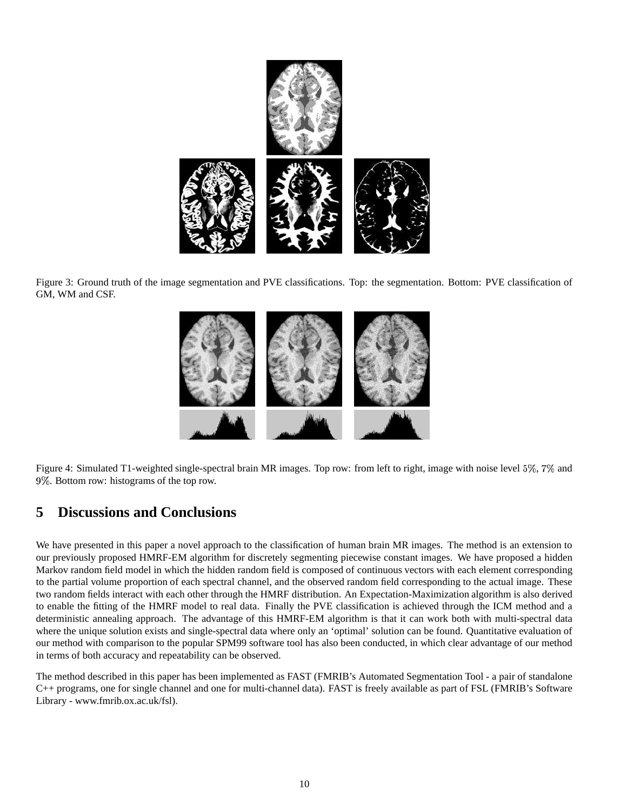

Figure 3: Ground truth of the image segmentation and PVE classifications. Top: the segmentation. Bottom: PVE classification of GM, WM and CSF.



Figure 4: Simulated T1-weighted single-spectral brain MR images. Top row: from left to right, image with noise level 5%, 7% and  . Bottom row: histograms of the top row.

# **5 Discussions and Conclusions**

We have presented in this paper a novel approach to the classification of human brain MR images. The method is an extension to our previously proposed HMRF-EM algorithm for discretely segmenting piecewise constant images. We have proposed a hidden Markov random field model in which the hidden random field is composed of continuous vectors with each element corresponding to the partial volume proportion of each spectral channel, and the observed random field corresponding to the actual image. These two random fields interact with each other through the HMRF distribution. An Expectation-Maximization algorithm is also derived to enable the fitting of the HMRF model to real data. Finally the PVE classification is achieved through the ICM method and a deterministic annealing approach. The advantage of this HMRF-EM algorithm is that it can work both with multi-spectral data where the unique solution exists and single-spectral data where only an 'optimal' solution can be found. Quantitative evaluation of our method with comparison to the popular SPM99 software tool has also been conducted, in which clear advantage of our method in terms of both accuracy and repeatability can be observed.

The method described in this paper has been implemented as FAST (FMRIB's Automated Segmentation Tool - a pair of standalone C++ programs, one for single channel and one for multi-channel data). FAST is freely available as part of FSL (FMRIB's Software Library - www.fmrib.ox.ac.uk/fsl).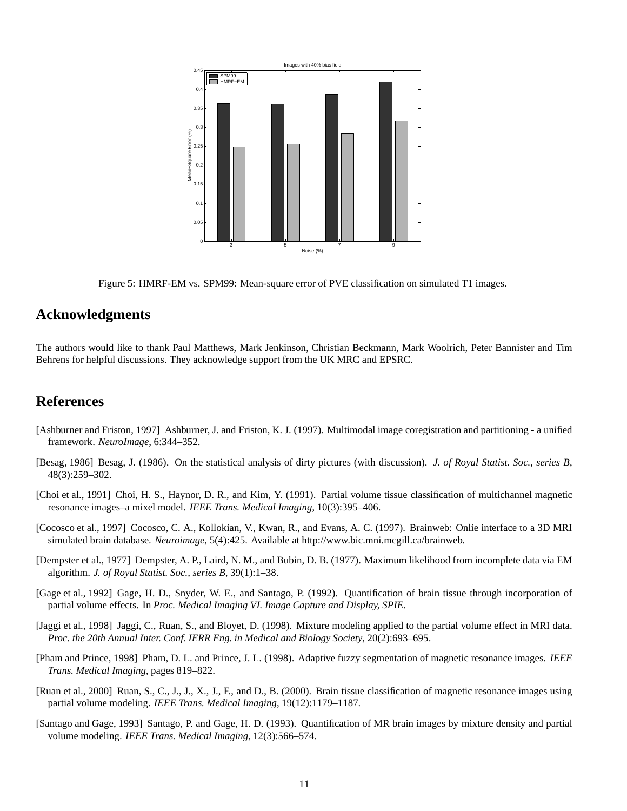

Figure 5: HMRF-EM vs. SPM99: Mean-square error of PVE classification on simulated T1 images.

## **Acknowledgments**

The authors would like to thank Paul Matthews, Mark Jenkinson, Christian Beckmann, Mark Woolrich, Peter Bannister and Tim Behrens for helpful discussions. They acknowledge support from the UK MRC and EPSRC.

## **References**

- [Ashburner and Friston, 1997] Ashburner, J. and Friston, K. J. (1997). Multimodal image coregistration and partitioning a unified framework. *NeuroImage*, 6:344–352.
- [Besag, 1986] Besag, J. (1986). On the statistical analysis of dirty pictures (with discussion). *J. of Royal Statist. Soc., series B*, 48(3):259–302.
- [Choi et al., 1991] Choi, H. S., Haynor, D. R., and Kim, Y. (1991). Partial volume tissue classification of multichannel magnetic resonance images–a mixel model. *IEEE Trans. Medical Imaging*, 10(3):395–406.
- [Cocosco et al., 1997] Cocosco, C. A., Kollokian, V., Kwan, R., and Evans, A. C. (1997). Brainweb: Onlie interface to a 3D MRI simulated brain database. *Neuroimage*, 5(4):425. Available at http://www.bic.mni.mcgill.ca/brainweb.
- [Dempster et al., 1977] Dempster, A. P., Laird, N. M., and Bubin, D. B. (1977). Maximum likelihood from incomplete data via EM algorithm. *J. of Royal Statist. Soc., series B*, 39(1):1–38.
- [Gage et al., 1992] Gage, H. D., Snyder, W. E., and Santago, P. (1992). Quantification of brain tissue through incorporation of partial volume effects. In *Proc. Medical Imaging VI. Image Capture and Display, SPIE*.
- [Jaggi et al., 1998] Jaggi, C., Ruan, S., and Bloyet, D. (1998). Mixture modeling applied to the partial volume effect in MRI data. *Proc. the 20th Annual Inter. Conf. IERR Eng. in Medical and Biology Society*, 20(2):693–695.
- [Pham and Prince, 1998] Pham, D. L. and Prince, J. L. (1998). Adaptive fuzzy segmentation of magnetic resonance images. *IEEE Trans. Medical Imaging*, pages 819–822.
- [Ruan et al., 2000] Ruan, S., C., J., J., X., J., F., and D., B. (2000). Brain tissue classification of magnetic resonance images using partial volume modeling. *IEEE Trans. Medical Imaging*, 19(12):1179–1187.
- [Santago and Gage, 1993] Santago, P. and Gage, H. D. (1993). Quantification of MR brain images by mixture density and partial volume modeling. *IEEE Trans. Medical Imaging*, 12(3):566–574.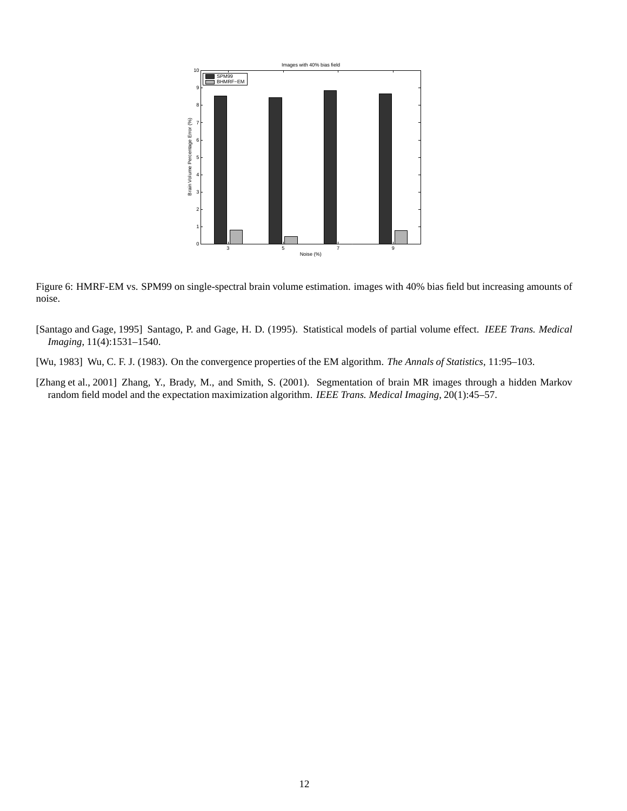

Figure 6: HMRF-EM vs. SPM99 on single-spectral brain volume estimation. images with 40% bias field but increasing amounts of noise.

- [Santago and Gage, 1995] Santago, P. and Gage, H. D. (1995). Statistical models of partial volume effect. *IEEE Trans. Medical Imaging*, 11(4):1531–1540.
- [Wu, 1983] Wu, C. F. J. (1983). On the convergence properties of the EM algorithm. *The Annals of Statistics*, 11:95–103.
- [Zhang et al., 2001] Zhang, Y., Brady, M., and Smith, S. (2001). Segmentation of brain MR images through a hidden Markov random field model and the expectation maximization algorithm. *IEEE Trans. Medical Imaging*, 20(1):45–57.